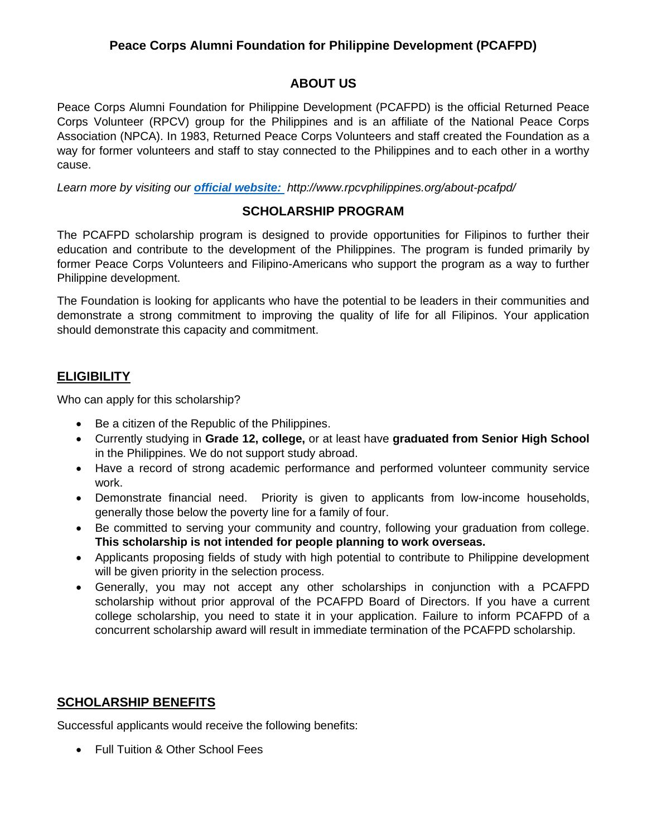# **ABOUT US**

Peace Corps Alumni Foundation for Philippine Development (PCAFPD) is the official Returned Peace Corps Volunteer (RPCV) group for the Philippines and is an affiliate of the National Peace Corps Association (NPCA). In 1983, Returned Peace Corps Volunteers and staff created the Foundation as a way for former volunteers and staff to stay connected to the Philippines and to each other in a worthy cause.

*Learn more by visiting our [official website:](http://www.rpcvphilippines.org/about-pcafpd/) http://www.rpcvphilippines.org/about-pcafpd/*

## **SCHOLARSHIP PROGRAM**

The PCAFPD scholarship program is designed to provide opportunities for Filipinos to further their education and contribute to the development of the Philippines. The program is funded primarily by former Peace Corps Volunteers and Filipino-Americans who support the program as a way to further Philippine development.

The Foundation is looking for applicants who have the potential to be leaders in their communities and demonstrate a strong commitment to improving the quality of life for all Filipinos. Your application should demonstrate this capacity and commitment.

# **ELIGIBILITY**

Who can apply for this scholarship?

- Be a citizen of the Republic of the Philippines.
- Currently studying in **Grade 12, college,** or at least have **graduated from Senior High School** in the Philippines. We do not support study abroad.
- Have a record of strong academic performance and performed volunteer community service work.
- Demonstrate financial need. Priority is given to applicants from low-income households, generally those below the poverty line for a family of four.
- Be committed to serving your community and country, following your graduation from college. **This scholarship is not intended for people planning to work overseas.**
- Applicants proposing fields of study with high potential to contribute to Philippine development will be given priority in the selection process.
- Generally, you may not accept any other scholarships in conjunction with a PCAFPD scholarship without prior approval of the PCAFPD Board of Directors. If you have a current college scholarship, you need to state it in your application. Failure to inform PCAFPD of a concurrent scholarship award will result in immediate termination of the PCAFPD scholarship.

# **SCHOLARSHIP BENEFITS**

Successful applicants would receive the following benefits:

• Full Tuition & Other School Fees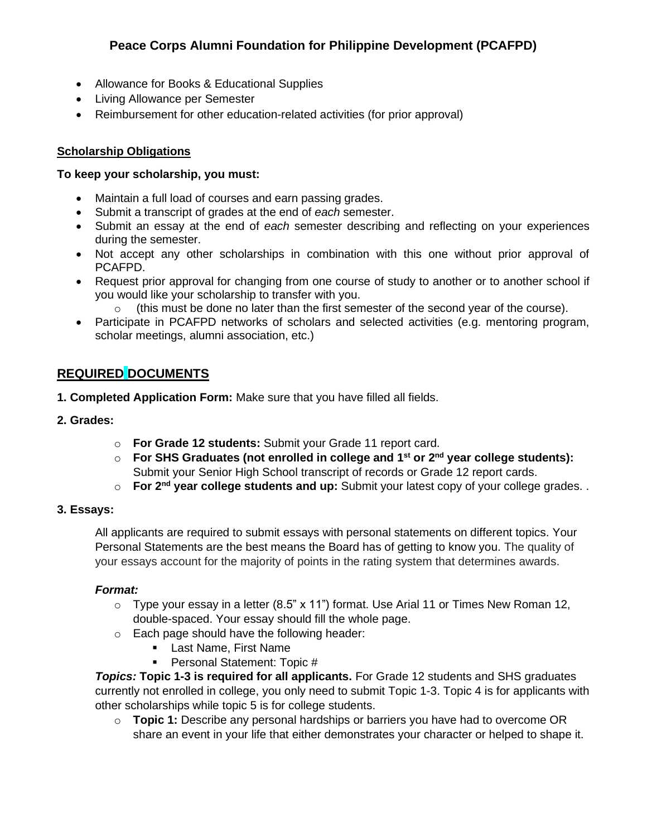- Allowance for Books & Educational Supplies
- Living Allowance per Semester
- Reimbursement for other education-related activities (for prior approval)

## **Scholarship Obligations**

### **To keep your scholarship, you must:**

- Maintain a full load of courses and earn passing grades.
- Submit a transcript of grades at the end of *each* semester.
- Submit an essay at the end of *each* semester describing and reflecting on your experiences during the semester.
- Not accept any other scholarships in combination with this one without prior approval of PCAFPD.
- Request prior approval for changing from one course of study to another or to another school if you would like your scholarship to transfer with you.
	- o (this must be done no later than the first semester of the second year of the course).
- Participate in PCAFPD networks of scholars and selected activities (e.g. mentoring program, scholar meetings, alumni association, etc.)

# **REQUIRED DOCUMENTS**

**1. Completed Application Form:** Make sure that you have filled all fields.

## **2. Grades:**

- o **For Grade 12 students:** Submit your Grade 11 report card.
- o **For SHS Graduates (not enrolled in college and 1st or 2nd year college students):** Submit your Senior High School transcript of records or Grade 12 report cards.
- o **For 2nd year college students and up:** Submit your latest copy of your college grades. .

## **3. Essays:**

All applicants are required to submit essays with personal statements on different topics. Your Personal Statements are the best means the Board has of getting to know you. The quality of your essays account for the majority of points in the rating system that determines awards.

## *Format:*

- $\circ$  Type your essay in a letter (8.5" x 11") format. Use Arial 11 or Times New Roman 12, double-spaced. Your essay should fill the whole page.
- o Each page should have the following header:
	- **Example 1** Last Name, First Name
	- Personal Statement: Topic #

*Topics:* **Topic 1-3 is required for all applicants.** For Grade 12 students and SHS graduates currently not enrolled in college, you only need to submit Topic 1-3. Topic 4 is for applicants with other scholarships while topic 5 is for college students.

o **Topic 1:** Describe any personal hardships or barriers you have had to overcome OR share an event in your life that either demonstrates your character or helped to shape it.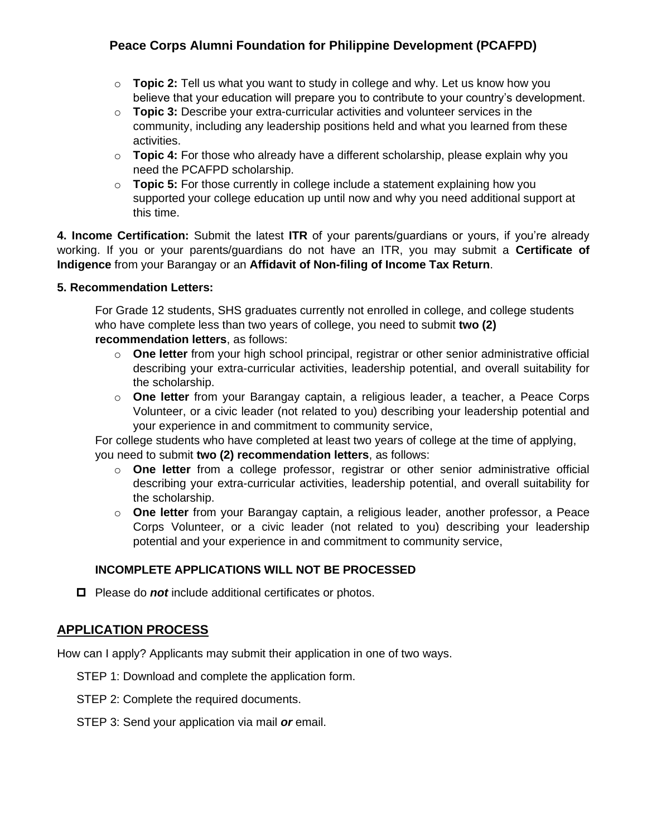- o **Topic 2:** Tell us what you want to study in college and why. Let us know how you believe that your education will prepare you to contribute to your country's development.
- o **Topic 3:** Describe your extra-curricular activities and volunteer services in the community, including any leadership positions held and what you learned from these activities.
- o **Topic 4:** For those who already have a different scholarship, please explain why you need the PCAFPD scholarship.
- o **Topic 5:** For those currently in college include a statement explaining how you supported your college education up until now and why you need additional support at this time.

**4. Income Certification:** Submit the latest **ITR** of your parents/guardians or yours, if you're already working. If you or your parents/guardians do not have an ITR, you may submit a **Certificate of Indigence** from your Barangay or an **Affidavit of Non-filing of Income Tax Return**.

#### **5. Recommendation Letters:**

For Grade 12 students, SHS graduates currently not enrolled in college, and college students who have complete less than two years of college, you need to submit **two (2) recommendation letters**, as follows:

- o **One letter** from your high school principal, registrar or other senior administrative official describing your extra-curricular activities, leadership potential, and overall suitability for the scholarship.
- o **One letter** from your Barangay captain, a religious leader, a teacher, a Peace Corps Volunteer, or a civic leader (not related to you) describing your leadership potential and your experience in and commitment to community service,

For college students who have completed at least two years of college at the time of applying, you need to submit **two (2) recommendation letters**, as follows:

- o **One letter** from a college professor, registrar or other senior administrative official describing your extra-curricular activities, leadership potential, and overall suitability for the scholarship.
- o **One letter** from your Barangay captain, a religious leader, another professor, a Peace Corps Volunteer, or a civic leader (not related to you) describing your leadership potential and your experience in and commitment to community service,

## **INCOMPLETE APPLICATIONS WILL NOT BE PROCESSED**

 $\Box$  Please do **not** include additional certificates or photos.

# **APPLICATION PROCESS**

How can I apply? Applicants may submit their application in one of two ways.

- STEP 1: Download and complete the application form.
- STEP 2: Complete the required documents.
- STEP 3: Send your application via mail *or* email.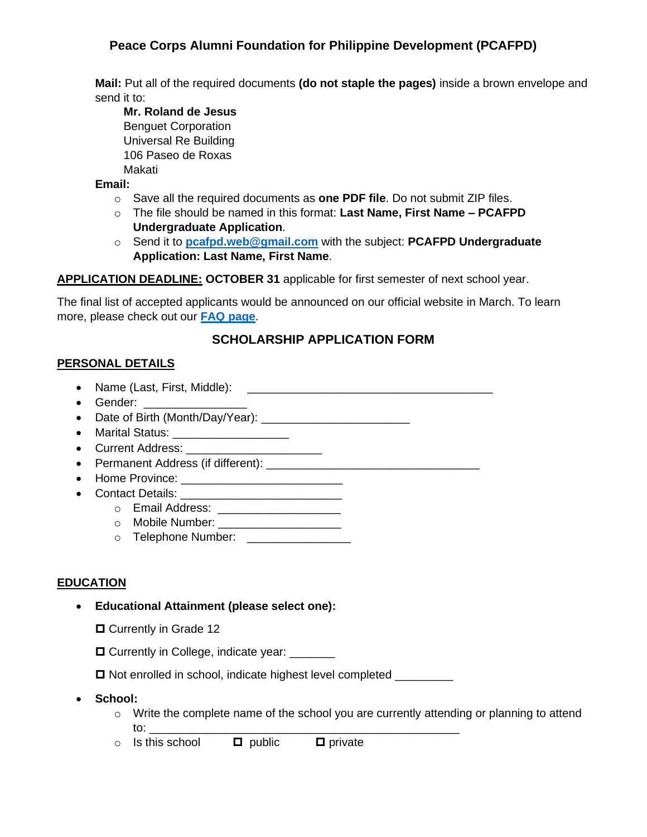**Mail:** Put all of the required documents **(do not staple the pages)** inside a brown envelope and send it to:

**Mr. Roland de Jesus** Benguet Corporation Universal Re Building 106 Paseo de Roxas Makati

**Email:**

- o Save all the required documents as **one PDF file**. Do not submit ZIP files.
- o The file should be named in this format: **Last Name, First Name – PCAFPD Undergraduate Application**.
- o Send it to **[pcafpd.web@gmail.com](mailto:pcafpd.web@gmail.com)** with the subject: **PCAFPD Undergraduate Application: Last Name, First Name**.

#### **APPLICATION DEADLINE: OCTOBER 31** applicable for first semester of next school year.

The final list of accepted applicants would be announced on our official website in March. To learn more, please check out our **[FAQ page](http://www.rpcvphilippines.org/applications/frequently-asked-questions/)**.

# **SCHOLARSHIP APPLICATION FORM**

## **PERSONAL DETAILS**

- Name (Last, First, Middle): \_\_\_\_\_\_\_\_\_\_\_\_\_\_\_\_\_\_\_\_\_\_\_\_\_\_\_\_\_\_\_\_\_\_\_\_\_\_
- Gender:
- Date of Birth (Month/Day/Year):
- Marital Status: \_\_\_\_\_\_\_\_\_\_\_\_\_\_\_\_\_\_\_\_\_\_\_
- Current Address:
- Permanent Address (if different): \_\_\_\_\_\_\_\_\_\_\_\_\_\_\_\_\_\_\_\_\_\_\_\_\_\_\_\_\_\_\_\_\_
- Home Province: \_\_\_\_\_\_\_\_\_\_\_\_\_\_\_\_\_\_\_\_\_\_\_\_\_
- Contact Details:
	- o Email Address: \_\_\_\_\_\_\_\_\_\_\_\_\_\_\_\_\_\_\_
	- o Mobile Number: \_\_\_\_\_\_\_\_\_\_\_\_\_\_\_\_\_\_\_\_\_\_
	- $\circ$  Telephone Number:

## **EDUCATION**

- **Educational Attainment (please select one):**
	- □ Currently in Grade 12
	- $\Box$  Currently in College, indicate year: \_\_\_\_\_\_\_

 $\square$  Not enrolled in school, indicate highest level completed \_\_\_\_\_\_\_\_\_\_

- **School:** 
	- $\circ$  Write the complete name of the school you are currently attending or planning to attend to: \_\_\_\_\_\_\_\_\_\_\_\_\_\_\_\_\_\_\_\_\_\_\_\_\_\_\_\_\_\_\_\_\_\_\_\_\_\_\_\_\_\_\_\_\_\_\_\_
	- $\circ$  Is this school  $\Box$  public  $\Box$  private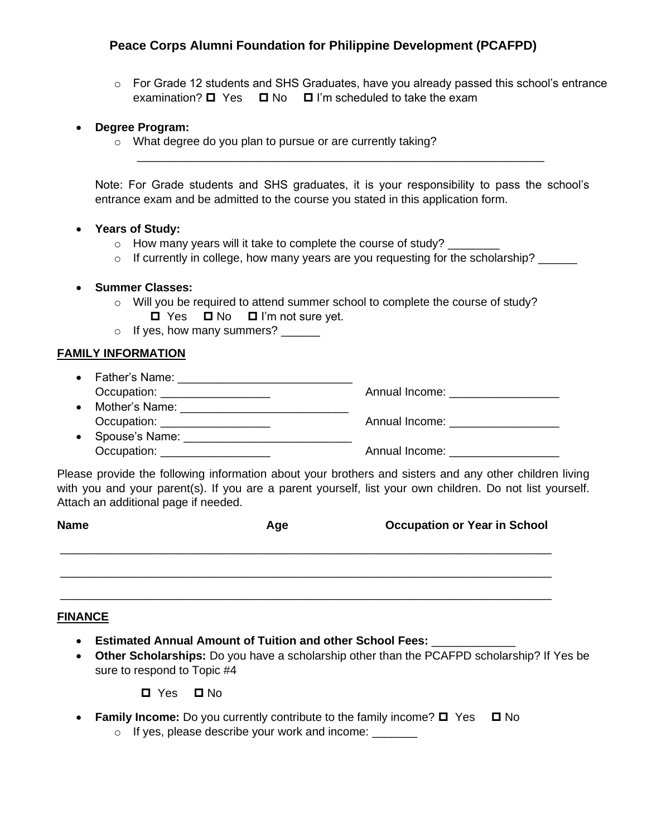\_\_\_\_\_\_\_\_\_\_\_\_\_\_\_\_\_\_\_\_\_\_\_\_\_\_\_\_\_\_\_\_\_\_\_\_\_\_\_\_\_\_\_\_\_\_\_\_\_\_\_\_\_\_\_\_\_\_\_\_\_\_\_

 $\circ$  For Grade 12 students and SHS Graduates, have you already passed this school's entrance examination?  $\Box$  Yes  $\Box$  No  $\Box$  I'm scheduled to take the exam

#### • **Degree Program:**

o What degree do you plan to pursue or are currently taking?

Note: For Grade students and SHS graduates, it is your responsibility to pass the school's entrance exam and be admitted to the course you stated in this application form.

#### • **Years of Study:**

- $\circ$  How many years will it take to complete the course of study?
- o If currently in college, how many years are you requesting for the scholarship?

#### • **Summer Classes:**

- o Will you be required to attend summer school to complete the course of study?  $\Box$  Yes  $\Box$  No  $\Box$  I'm not sure yet.
- o If yes, how many summers? \_\_\_\_\_\_

#### **FAMILY INFORMATION**

- Father's Name: \_\_\_\_\_\_\_\_\_\_\_\_\_\_\_\_\_\_\_\_\_\_\_\_\_\_\_ Occupation: example and the computation: the computation of the Annual Income:  $\blacksquare$ • Mother's Name:
- Occupation: \_\_\_\_\_\_\_\_\_\_\_\_\_\_\_\_\_ Annual Income: \_\_\_\_\_\_\_\_\_\_\_\_\_\_\_\_\_ • Spouse's Name:
- Occupation: \_\_\_\_\_\_\_\_\_\_\_\_\_\_\_\_\_ Annual Income: \_\_\_\_\_\_\_\_\_\_\_\_\_\_\_\_\_

Please provide the following information about your brothers and sisters and any other children living with you and your parent(s). If you are a parent yourself, list your own children. Do not list yourself. Attach an additional page if needed.

| <b>Name</b> | Age | <b>Occupation or Year in School</b> |
|-------------|-----|-------------------------------------|
|             |     |                                     |

\_\_\_\_\_\_\_\_\_\_\_\_\_\_\_\_\_\_\_\_\_\_\_\_\_\_\_\_\_\_\_\_\_\_\_\_\_\_\_\_\_\_\_\_\_\_\_\_\_\_\_\_\_\_\_\_\_\_\_\_\_\_\_\_\_\_\_\_\_\_\_\_\_\_\_\_

#### **FINANCE**

- **Estimated Annual Amount of Tuition and other School Fees:** \_\_\_\_\_\_\_\_\_\_\_\_\_
- **Other Scholarships:** Do you have a scholarship other than the PCAFPD scholarship? If Yes be sure to respond to Topic #4

**□** Yes □ No

• **Family Income:** Do you currently contribute to the family income?  $\Box$  Yes  $\Box$  No

o If yes, please describe your work and income: \_\_\_\_\_\_\_